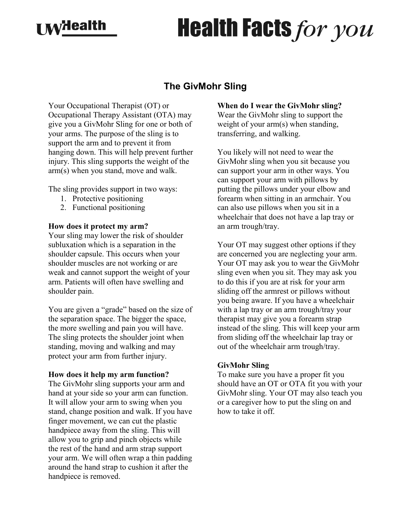## **MyHealth**

# **Health Facts for you**

### **The GivMohr Sling**

Your Occupational Therapist (OT) or Occupational Therapy Assistant (OTA) may give you a GivMohr Sling for one or both of your arms. The purpose of the sling is to support the arm and to prevent it from hanging down. This will help prevent further injury. This sling supports the weight of the arm(s) when you stand, move and walk.

The sling provides support in two ways:

- 1. Protective positioning
- 2. Functional positioning

#### **How does it protect my arm?**

Your sling may lower the risk of shoulder subluxation which is a separation in the shoulder capsule. This occurs when your shoulder muscles are not working or are weak and cannot support the weight of your arm. Patients will often have swelling and shoulder pain.

You are given a "grade" based on the size of the separation space. The bigger the space, the more swelling and pain you will have. The sling protects the shoulder joint when standing, moving and walking and may protect your arm from further injury.

#### **How does it help my arm function?**

The GivMohr sling supports your arm and hand at your side so your arm can function. It will allow your arm to swing when you stand, change position and walk. If you have finger movement, we can cut the plastic handpiece away from the sling. This will allow you to grip and pinch objects while the rest of the hand and arm strap support your arm. We will often wrap a thin padding around the hand strap to cushion it after the handpiece is removed.

#### **When do I wear the GivMohr sling?**

Wear the GivMohr sling to support the weight of your arm(s) when standing, transferring, and walking.

You likely will not need to wear the GivMohr sling when you sit because you can support your arm in other ways. You can support your arm with pillows by putting the pillows under your elbow and forearm when sitting in an armchair. You can also use pillows when you sit in a wheelchair that does not have a lap tray or an arm trough/tray.

Your OT may suggest other options if they are concerned you are neglecting your arm. Your OT may ask you to wear the GivMohr sling even when you sit. They may ask you to do this if you are at risk for your arm sliding off the armrest or pillows without you being aware. If you have a wheelchair with a lap tray or an arm trough/tray your therapist may give you a forearm strap instead of the sling. This will keep your arm from sliding off the wheelchair lap tray or out of the wheelchair arm trough/tray.

#### **GivMohr Sling**

To make sure you have a proper fit you should have an OT or OTA fit you with your GivMohr sling. Your OT may also teach you or a caregiver how to put the sling on and how to take it off.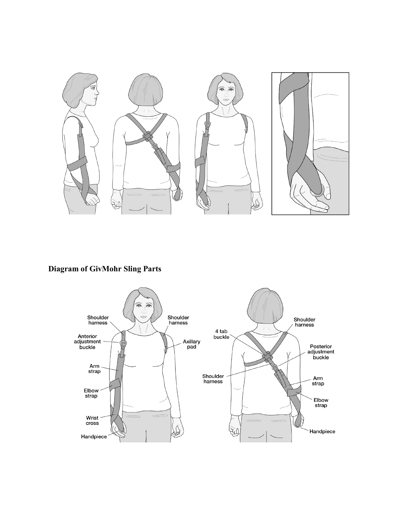

#### **Diagram of GivMohr Sling Parts**

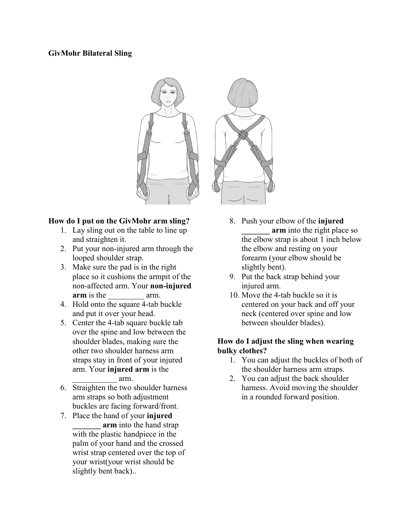#### **GivMohr Bilateral Sling**



#### **How do I put on the GivMohr arm sling?**

- 1. Lay sling out on the table to line up and straighten it.
- 2. Put your non-injured arm through the looped shoulder strap.
- 3. Make sure the pad is in the right place so it cushions the armpit of the non-affected arm. Your **non-injured arm** is the arm.
- 4. Hold onto the square 4-tab buckle and put it over your head.
- 5. Center the 4-tab square buckle tab over the spine and low between the shoulder blades, making sure the other two shoulder harness arm straps stay in front of your injured arm. Your **injured arm** is the \_\_\_\_\_\_\_\_\_\_\_ arm.
- 6. Straighten the two shoulder harness arm straps so both adjustment buckles are facing forward/front.
- 7. Place the hand of your **injured arm** into the hand strap with the plastic handpiece in the palm of your hand and the crossed wrist strap centered over the top of your wrist(your wrist should be slightly bent back)..
- 8. Push your elbow of the **injured** arm into the right place so the elbow strap is about 1 inch below the elbow and resting on your forearm (your elbow should be slightly bent).
- 9. Put the back strap behind your injured arm.
- 10. Move the 4-tab buckle so it is centered on your back and off your neck (centered over spine and low between shoulder blades).

#### **How do I adjust the sling when wearing bulky clothes?**

- 1. You can adjust the buckles of both of the shoulder harness arm straps.
- 2. You can adjust the back shoulder harness. Avoid moving the shoulder in a rounded forward position.